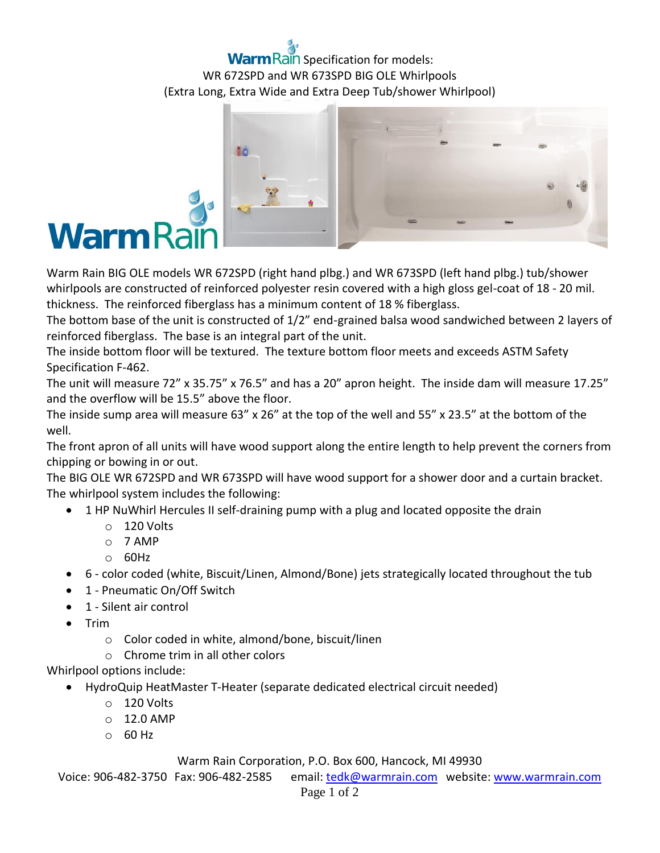# **m** Rain Specification for models: WR 672SPD and WR 673SPD BIG OLE Whirlpools (Extra Long, Extra Wide and Extra Deep Tub/shower Whirlpool)



Warm Rain BIG OLE models WR 672SPD (right hand plbg.) and WR 673SPD (left hand plbg.) tub/shower whirlpools are constructed of reinforced polyester resin covered with a high gloss gel-coat of 18 - 20 mil. thickness. The reinforced fiberglass has a minimum content of 18 % fiberglass.

The bottom base of the unit is constructed of 1/2" end-grained balsa wood sandwiched between 2 layers of reinforced fiberglass. The base is an integral part of the unit.

The inside bottom floor will be textured. The texture bottom floor meets and exceeds ASTM Safety Specification F-462.

The unit will measure 72" x 35.75" x 76.5" and has a 20" apron height. The inside dam will measure 17.25" and the overflow will be 15.5" above the floor.

The inside sump area will measure 63" x 26" at the top of the well and 55" x 23.5" at the bottom of the well.

The front apron of all units will have wood support along the entire length to help prevent the corners from chipping or bowing in or out.

The BIG OLE WR 672SPD and WR 673SPD will have wood support for a shower door and a curtain bracket. The whirlpool system includes the following:

- 1 HP NuWhirl Hercules II self-draining pump with a plug and located opposite the drain
	- o 120 Volts
	- o 7 AMP
	- o 60Hz
- 6 color coded (white, Biscuit/Linen, Almond/Bone) jets strategically located throughout the tub
- 1 Pneumatic On/Off Switch
- 1 Silent air control
- $\bullet$  Trim
	- o Color coded in white, almond/bone, biscuit/linen
	- o Chrome trim in all other colors

### Whirlpool options include:

- HydroQuip HeatMaster T-Heater (separate dedicated electrical circuit needed)
	- $\circ$  120 Volts
	- $O$  12.0 AMP
	- o 60 Hz

#### Warm Rain Corporation, P.O. Box 600, Hancock, MI 49930

Voice: 906-482-3750 Fax: 906-482-2585 email[: tedk@warmrain.com](mailto:tedk@warmrain.com) website: [www.warmrain.com](http://www.warmrain.com/)